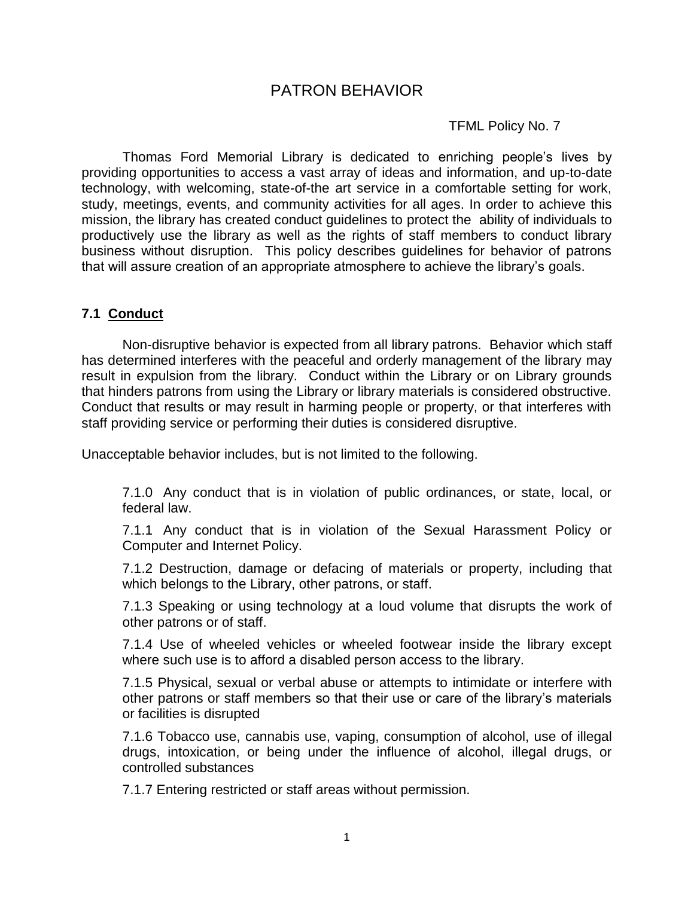# PATRON BEHAVIOR

### TFML Policy No. 7

Thomas Ford Memorial Library is dedicated to enriching people's lives by providing opportunities to access a vast array of ideas and information, and up-to-date technology, with welcoming, state-of-the art service in a comfortable setting for work, study, meetings, events, and community activities for all ages. In order to achieve this mission, the library has created conduct guidelines to protect the ability of individuals to productively use the library as well as the rights of staff members to conduct library business without disruption. This policy describes guidelines for behavior of patrons that will assure creation of an appropriate atmosphere to achieve the library's goals.

## **7.1 Conduct**

Non-disruptive behavior is expected from all library patrons. Behavior which staff has determined interferes with the peaceful and orderly management of the library may result in expulsion from the library. Conduct within the Library or on Library grounds that hinders patrons from using the Library or library materials is considered obstructive. Conduct that results or may result in harming people or property, or that interferes with staff providing service or performing their duties is considered disruptive.

Unacceptable behavior includes, but is not limited to the following.

7.1.0 Any conduct that is in violation of public ordinances, or state, local, or federal law.

7.1.1 Any conduct that is in violation of the Sexual Harassment Policy or Computer and Internet Policy.

7.1.2 Destruction, damage or defacing of materials or property, including that which belongs to the Library, other patrons, or staff.

7.1.3 Speaking or using technology at a loud volume that disrupts the work of other patrons or of staff.

7.1.4 Use of wheeled vehicles or wheeled footwear inside the library except where such use is to afford a disabled person access to the library.

7.1.5 Physical, sexual or verbal abuse or attempts to intimidate or interfere with other patrons or staff members so that their use or care of the library's materials or facilities is disrupted

7.1.6 Tobacco use, cannabis use, vaping, consumption of alcohol, use of illegal drugs, intoxication, or being under the influence of alcohol, illegal drugs, or controlled substances

7.1.7 Entering restricted or staff areas without permission.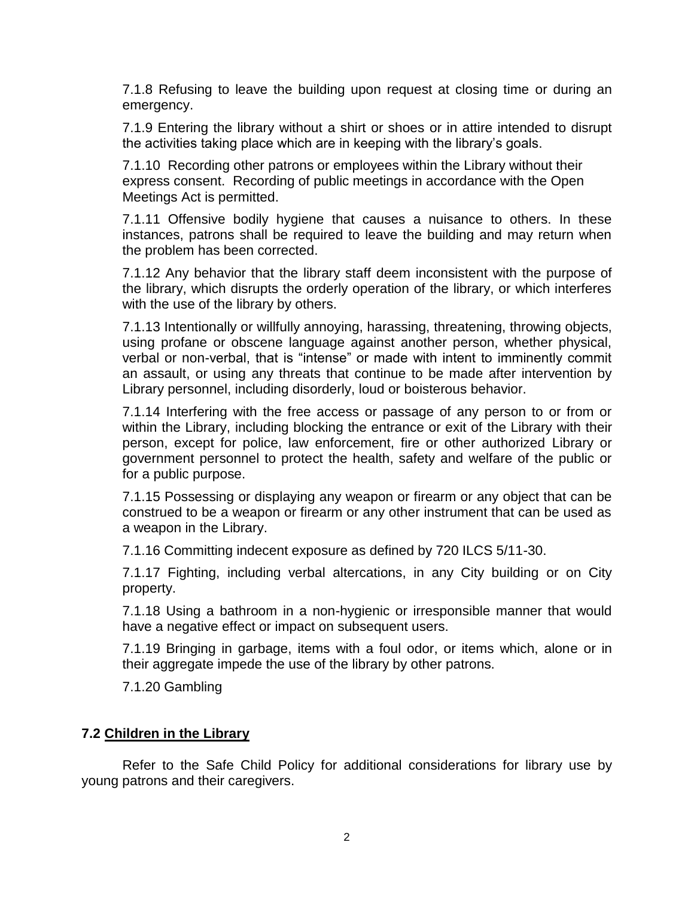7.1.8 Refusing to leave the building upon request at closing time or during an emergency.

7.1.9 Entering the library without a shirt or shoes or in attire intended to disrupt the activities taking place which are in keeping with the library's goals.

7.1.10 Recording other patrons or employees within the Library without their express consent. Recording of public meetings in accordance with the Open Meetings Act is permitted.

7.1.11 Offensive bodily hygiene that causes a nuisance to others. In these instances, patrons shall be required to leave the building and may return when the problem has been corrected.

7.1.12 Any behavior that the library staff deem inconsistent with the purpose of the library, which disrupts the orderly operation of the library, or which interferes with the use of the library by others.

7.1.13 Intentionally or willfully annoying, harassing, threatening, throwing objects, using profane or obscene language against another person, whether physical, verbal or non-verbal, that is "intense" or made with intent to imminently commit an assault, or using any threats that continue to be made after intervention by Library personnel, including disorderly, loud or boisterous behavior.

7.1.14 Interfering with the free access or passage of any person to or from or within the Library, including blocking the entrance or exit of the Library with their person, except for police, law enforcement, fire or other authorized Library or government personnel to protect the health, safety and welfare of the public or for a public purpose.

7.1.15 Possessing or displaying any weapon or firearm or any object that can be construed to be a weapon or firearm or any other instrument that can be used as a weapon in the Library.

7.1.16 Committing indecent exposure as defined by 720 ILCS 5/11-30.

7.1.17 Fighting, including verbal altercations, in any City building or on City property.

7.1.18 Using a bathroom in a non-hygienic or irresponsible manner that would have a negative effect or impact on subsequent users.

7.1.19 Bringing in garbage, items with a foul odor, or items which, alone or in their aggregate impede the use of the library by other patrons.

7.1.20 Gambling

#### **7.2 Children in the Library**

Refer to the Safe Child Policy for additional considerations for library use by young patrons and their caregivers.